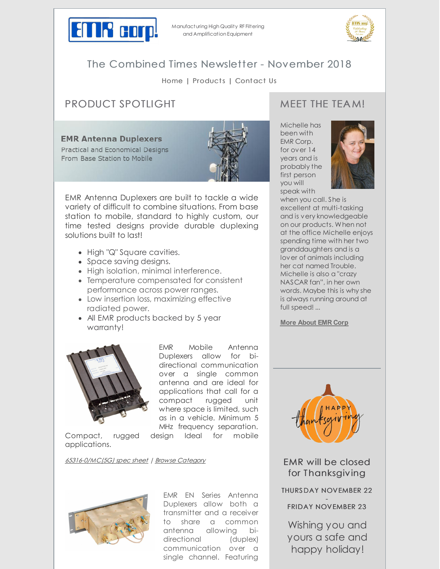

Manufacturing High Quality RF Filtering and Amplification Equipment



## The Combined Times Newsletter - November 2018

### [Home](http://emrcorp.com) | [Products](http://www.emrcorp.com/) | [Contact](http://www.emrcorp.com/contact) Us

# PRODUCT SPOTLIGHT

**EMR Antenna Duplexers** 

Practical and Economical Designs From Base Station to Mobile



EMR Antenna Duplexers are built to tackle a wide variety of difficult to combine situations. From base station to mobile, standard to highly custom, our time tested designs provide durable duplexing solutions built to last!

- High "Q" Square cavities.
- Space saving designs.
- High isolation, minimal interference.
- Temperature compensated for consistent performance across power ranges.
- Low insertion loss, maximizing effective radiated power.
- All EMR products backed by 5 year warranty!



EMR Mobile Antenna Duplexers allow for bidirectional communication over a single common antenna and are ideal for applications that call for a compact rugged unit where space is limited, such as in a vehicle. Minimum 5 MHz frequency separation.

Compact, rugged design Ideal for mobile applications.

[65316-0/MC\(5G\)](http://www.emrcorp.com/doc/uploads/a784f36bc04c38d16ab167851002829d65316-0_MC(5G).pdf) spec sheet | Browse [Category](http://www.emrcorp.com/cart/subcategories?cid=3&sub_category=Mobile)



EMR EN Series Antenna Duplexers allow both a transmitter and a receiver to share a common antenna allowing bidirectional (duplex) communication over a single channel. Featuring

### MEET THE TEA M!

Michelle has been with EMR Corp. for over 14 years and is probably the first person you will speak with



when you call. She is excellent at multi-tasking and is very knowledgeable on our products. When not at the office Michelle enjoys spending time with her two granddaughters and is a lover of animals including her cat named Trouble. Michelle is also a "crazy NASCAR fan", in her own words. Maybe this is why she is always running around at full speed! ...

**More [About](http://www.emrcorp.com/about-us) EMR Corp**



EMR will be closed for Thanksgiving

THURS DAY NOVEMBER 22

- FRIDAY NOVEMBER 23

Wishing you and yours a safe and happy holiday!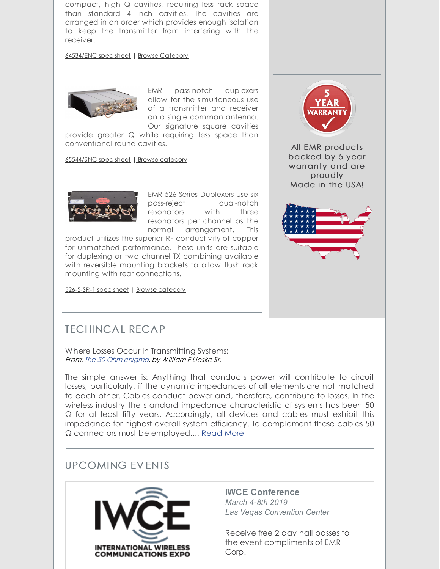compact, high Q cavities, requiring less rack space than standard 4 inch cavities. The cavities are arranged in an order which provides enough isolation to keep the transmitter from interfering with the receiver.

#### [64534/ENC](http://www.emrcorp.com/doc/uploads/c39df9a01e17c94070cec8ecc3c1ccce64534_ENC.pdf) spec sheet | Browse [Category](http://www.emrcorp.com/cart/subcategories?cid=3&sub_category=Pass Notch)



EMR pass-notch duplexers allow for the simultaneous use of a transmitter and receiver on a single common antenna. Our signature square cavities

provide greater Q while requiring less space than conventional round cavities.

[65544/SNC](http://www.emrcorp.com/doc/uploads/348dc9b0bf045fd5b3214a11a9b94fe965544_SNC(CT).pdf) spec sheet | Browse [category](http://www.emrcorp.com/cart/subcategories?cid=3&sub_category=Pass Notch)



EMR 526 Series Duplexers use six pass-reject dual-notch resonators with three resonators per channel as the normal arrangement. This

product utilizes the superior RF conductivity of copper for unmatched performance. These units are suitable for duplexing or two channel TX combining available with reversible mounting brackets to allow flush rack mounting with rear connections.

[526-5-SR-1](http://www.emrcorp.com/doc/uploads/1e75cabc59ced529eb0cbafb019348cf526-5-SR-1(3).pdf) spec sheet | Browse [category](http://www.emrcorp.com/cart/subcategories?cid=3&sub_category=Pass Notch)



All EMR products backed by 5 year warranty and are proudly Made in the USA!



### TECHINCAL RECAP

Where Losses Occur In Transmitting Systems: From: The 50 Ohm [enigma](http://www.emrcorp.com/uploads/d40df236e420f57d7067f2249415ae40The fifty ohm enigma08-14-18.pdf), by William F Lieske Sr.

The simple answer is: Anything that conducts power will contribute to circuit losses, particularly, if the dynamic impedances of all elements are not matched to each other. Cables conduct power and, therefore, contribute to losses. In the wireless industry the standard impedance characteristic of systems has been 50 Ω for at least fifty years. Accordingly, all devices and cables must exhibit this impedance for highest overall system efficiency. To complement these cables 50 Ω connectors must be employed.... [Read](http://www.emrcorp.com/uploads/d40df236e420f57d7067f2249415ae40The fifty ohm enigma08-14-18.pdf) More

### UPCOMING EV ENTS



**IWCE Conference** *March 4-8th 2019 Las Vegas Convention Center*

Receive free 2 day hall passes to the event compliments of EMR Corp!